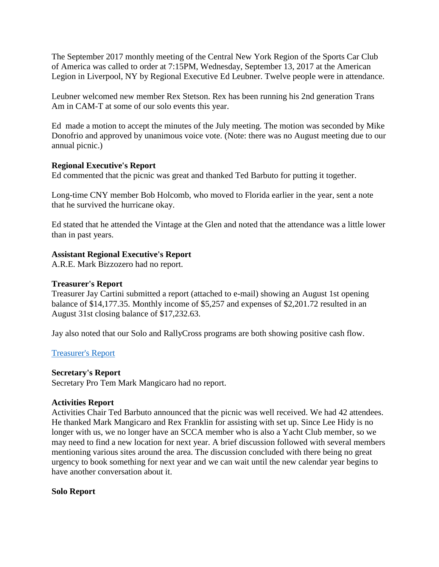The September 2017 monthly meeting of the Central New York Region of the Sports Car Club of America was called to order at 7:15PM, Wednesday, September 13, 2017 at the American Legion in Liverpool, NY by Regional Executive Ed Leubner. Twelve people were in attendance.

Leubner welcomed new member Rex Stetson. Rex has been running his 2nd generation Trans Am in CAM-T at some of our solo events this year.

Ed made a motion to accept the minutes of the July meeting. The motion was seconded by Mike Donofrio and approved by unanimous voice vote. (Note: there was no August meeting due to our annual picnic.)

# **Regional Executive's Report**

Ed commented that the picnic was great and thanked Ted Barbuto for putting it together.

Long-time CNY member Bob Holcomb, who moved to Florida earlier in the year, sent a note that he survived the hurricane okay.

Ed stated that he attended the Vintage at the Glen and noted that the attendance was a little lower than in past years.

# **Assistant Regional Executive's Report**

A.R.E. Mark Bizzozero had no report.

### **Treasurer's Report**

Treasurer Jay Cartini submitted a report (attached to e-mail) showing an August 1st opening balance of \$14,177.35. Monthly income of \$5,257 and expenses of \$2,201.72 resulted in an August 31st closing balance of \$17,232.63.

Jay also noted that our Solo and RallyCross programs are both showing positive cash flow.

# [Treasurer's Report](https://www.cny-scca.com/meeting_minutes/2017_09_treasury.pdf)

### **Secretary's Report**

Secretary Pro Tem Mark Mangicaro had no report.

### **Activities Report**

Activities Chair Ted Barbuto announced that the picnic was well received. We had 42 attendees. He thanked Mark Mangicaro and Rex Franklin for assisting with set up. Since Lee Hidy is no longer with us, we no longer have an SCCA member who is also a Yacht Club member, so we may need to find a new location for next year. A brief discussion followed with several members mentioning various sites around the area. The discussion concluded with there being no great urgency to book something for next year and we can wait until the new calendar year begins to have another conversation about it.

### **Solo Report**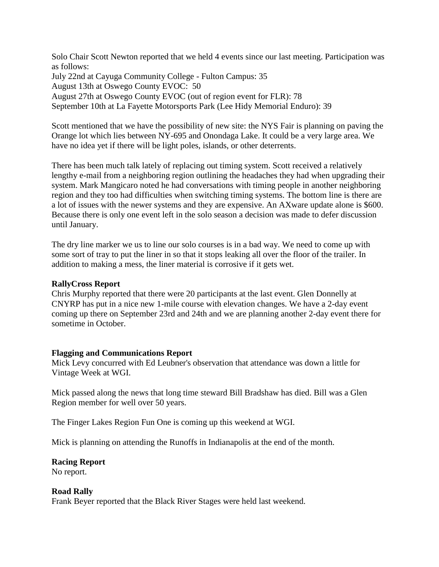Solo Chair Scott Newton reported that we held 4 events since our last meeting. Participation was as follows: July 22nd at Cayuga Community College - Fulton Campus: 35 August 13th at Oswego County EVOC: 50 August 27th at Oswego County EVOC (out of region event for FLR): 78 September 10th at La Fayette Motorsports Park (Lee Hidy Memorial Enduro): 39

Scott mentioned that we have the possibility of new site: the NYS Fair is planning on paving the Orange lot which lies between NY-695 and Onondaga Lake. It could be a very large area. We have no idea yet if there will be light poles, islands, or other deterrents.

There has been much talk lately of replacing out timing system. Scott received a relatively lengthy e-mail from a neighboring region outlining the headaches they had when upgrading their system. Mark Mangicaro noted he had conversations with timing people in another neighboring region and they too had difficulties when switching timing systems. The bottom line is there are a lot of issues with the newer systems and they are expensive. An AXware update alone is \$600. Because there is only one event left in the solo season a decision was made to defer discussion until January.

The dry line marker we us to line our solo courses is in a bad way. We need to come up with some sort of tray to put the liner in so that it stops leaking all over the floor of the trailer. In addition to making a mess, the liner material is corrosive if it gets wet.

#### **RallyCross Report**

Chris Murphy reported that there were 20 participants at the last event. Glen Donnelly at CNYRP has put in a nice new 1-mile course with elevation changes. We have a 2-day event coming up there on September 23rd and 24th and we are planning another 2-day event there for sometime in October.

#### **Flagging and Communications Report**

Mick Levy concurred with Ed Leubner's observation that attendance was down a little for Vintage Week at WGI.

Mick passed along the news that long time steward Bill Bradshaw has died. Bill was a Glen Region member for well over 50 years.

The Finger Lakes Region Fun One is coming up this weekend at WGI.

Mick is planning on attending the Runoffs in Indianapolis at the end of the month.

### **Racing Report**

No report.

### **Road Rally**

Frank Beyer reported that the Black River Stages were held last weekend.